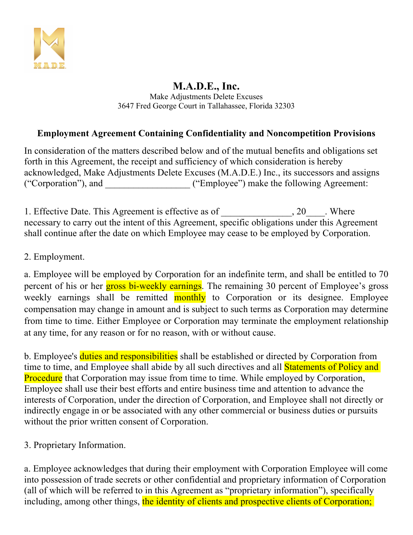

#### **M.A.D.E., Inc.** Make Adjustments Delete Excuses 3647 Fred George Court in Tallahassee, Florida 32303

## **Employment Agreement Containing Confidentiality and Noncompetition Provisions**

In consideration of the matters described below and of the mutual benefits and obligations set forth in this Agreement, the receipt and sufficiency of which consideration is hereby acknowledged, Make Adjustments Delete Excuses (M.A.D.E.) Inc., its successors and assigns ("Corporation"), and \_\_\_\_\_\_\_\_\_\_\_\_\_\_\_\_\_\_ ("Employee") make the following Agreement:

1. Effective Date. This Agreement is effective as of  $\qquad \qquad , 20$ . Where necessary to carry out the intent of this Agreement, specific obligations under this Agreement shall continue after the date on which Employee may cease to be employed by Corporation.

#### 2. Employment.

a. Employee will be employed by Corporation for an indefinite term, and shall be entitled to 70 percent of his or her **gross bi-weekly earnings**. The remaining 30 percent of Employee's gross weekly earnings shall be remitted **monthly** to Corporation or its designee. Employee compensation may change in amount and is subject to such terms as Corporation may determine from time to time. Either Employee or Corporation may terminate the employment relationship at any time, for any reason or for no reason, with or without cause.

b. Employee's duties and responsibilities shall be established or directed by Corporation from time to time, and Employee shall abide by all such directives and all **Statements of Policy and Procedure** that Corporation may issue from time to time. While employed by Corporation, Employee shall use their best efforts and entire business time and attention to advance the interests of Corporation, under the direction of Corporation, and Employee shall not directly or indirectly engage in or be associated with any other commercial or business duties or pursuits without the prior written consent of Corporation.

3. Proprietary Information.

a. Employee acknowledges that during their employment with Corporation Employee will come into possession of trade secrets or other confidential and proprietary information of Corporation (all of which will be referred to in this Agreement as "proprietary information"), specifically including, among other things, the identity of clients and prospective clients of Corporation;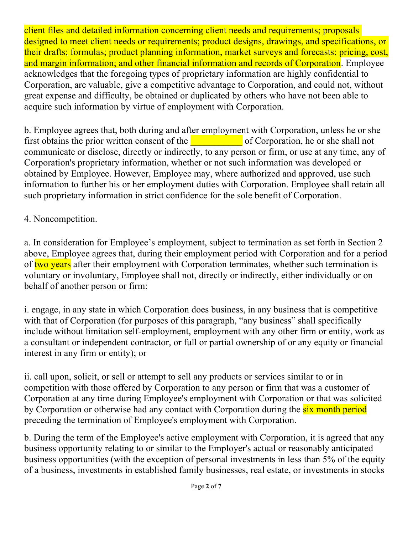client files and detailed information concerning client needs and requirements; proposals designed to meet client needs or requirements; product designs, drawings, and specifications, or their drafts; formulas; product planning information, market surveys and forecasts; pricing, cost, and margin information; and other financial information and records of Corporation. Employee acknowledges that the foregoing types of proprietary information are highly confidential to Corporation, are valuable, give a competitive advantage to Corporation, and could not, without great expense and difficulty, be obtained or duplicated by others who have not been able to acquire such information by virtue of employment with Corporation.

b. Employee agrees that, both during and after employment with Corporation, unless he or she first obtains the prior written consent of the **EXECO** of Corporation, he or she shall not communicate or disclose, directly or indirectly, to any person or firm, or use at any time, any of Corporation's proprietary information, whether or not such information was developed or obtained by Employee. However, Employee may, where authorized and approved, use such information to further his or her employment duties with Corporation. Employee shall retain all such proprietary information in strict confidence for the sole benefit of Corporation.

## 4. Noncompetition.

a. In consideration for Employee's employment, subject to termination as set forth in Section 2 above, Employee agrees that, during their employment period with Corporation and for a period of two years after their employment with Corporation terminates, whether such termination is voluntary or involuntary, Employee shall not, directly or indirectly, either individually or on behalf of another person or firm:

i. engage, in any state in which Corporation does business, in any business that is competitive with that of Corporation (for purposes of this paragraph, "any business" shall specifically include without limitation self-employment, employment with any other firm or entity, work as a consultant or independent contractor, or full or partial ownership of or any equity or financial interest in any firm or entity); or

ii. call upon, solicit, or sell or attempt to sell any products or services similar to or in competition with those offered by Corporation to any person or firm that was a customer of Corporation at any time during Employee's employment with Corporation or that was solicited by Corporation or otherwise had any contact with Corporation during the six month period preceding the termination of Employee's employment with Corporation.

b. During the term of the Employee's active employment with Corporation, it is agreed that any business opportunity relating to or similar to the Employer's actual or reasonably anticipated business opportunities (with the exception of personal investments in less than 5% of the equity of a business, investments in established family businesses, real estate, or investments in stocks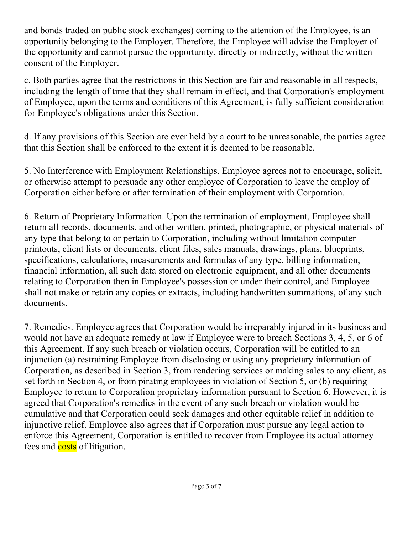and bonds traded on public stock exchanges) coming to the attention of the Employee, is an opportunity belonging to the Employer. Therefore, the Employee will advise the Employer of the opportunity and cannot pursue the opportunity, directly or indirectly, without the written consent of the Employer.

c. Both parties agree that the restrictions in this Section are fair and reasonable in all respects, including the length of time that they shall remain in effect, and that Corporation's employment of Employee, upon the terms and conditions of this Agreement, is fully sufficient consideration for Employee's obligations under this Section.

d. If any provisions of this Section are ever held by a court to be unreasonable, the parties agree that this Section shall be enforced to the extent it is deemed to be reasonable.

5. No Interference with Employment Relationships. Employee agrees not to encourage, solicit, or otherwise attempt to persuade any other employee of Corporation to leave the employ of Corporation either before or after termination of their employment with Corporation.

6. Return of Proprietary Information. Upon the termination of employment, Employee shall return all records, documents, and other written, printed, photographic, or physical materials of any type that belong to or pertain to Corporation, including without limitation computer printouts, client lists or documents, client files, sales manuals, drawings, plans, blueprints, specifications, calculations, measurements and formulas of any type, billing information, financial information, all such data stored on electronic equipment, and all other documents relating to Corporation then in Employee's possession or under their control, and Employee shall not make or retain any copies or extracts, including handwritten summations, of any such documents.

7. Remedies. Employee agrees that Corporation would be irreparably injured in its business and would not have an adequate remedy at law if Employee were to breach Sections 3, 4, 5, or 6 of this Agreement. If any such breach or violation occurs, Corporation will be entitled to an injunction (a) restraining Employee from disclosing or using any proprietary information of Corporation, as described in Section 3, from rendering services or making sales to any client, as set forth in Section 4, or from pirating employees in violation of Section 5, or (b) requiring Employee to return to Corporation proprietary information pursuant to Section 6. However, it is agreed that Corporation's remedies in the event of any such breach or violation would be cumulative and that Corporation could seek damages and other equitable relief in addition to injunctive relief. Employee also agrees that if Corporation must pursue any legal action to enforce this Agreement, Corporation is entitled to recover from Employee its actual attorney fees and **costs** of litigation.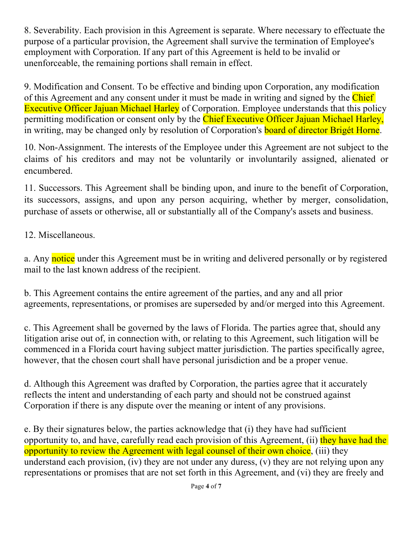8. Severability. Each provision in this Agreement is separate. Where necessary to effectuate the purpose of a particular provision, the Agreement shall survive the termination of Employee's employment with Corporation. If any part of this Agreement is held to be invalid or unenforceable, the remaining portions shall remain in effect.

9. Modification and Consent. To be effective and binding upon Corporation, any modification of this Agreement and any consent under it must be made in writing and signed by the Chief Executive Officer Jajuan Michael Harley of Corporation. Employee understands that this policy permitting modification or consent only by the Chief Executive Officer Jajuan Michael Harley, in writing, may be changed only by resolution of Corporation's **board of director Brigét Horne**.

10. Non-Assignment. The interests of the Employee under this Agreement are not subject to the claims of his creditors and may not be voluntarily or involuntarily assigned, alienated or encumbered.

11. Successors. This Agreement shall be binding upon, and inure to the benefit of Corporation, its successors, assigns, and upon any person acquiring, whether by merger, consolidation, purchase of assets or otherwise, all or substantially all of the Company's assets and business.

12. Miscellaneous.

a. Any notice under this Agreement must be in writing and delivered personally or by registered mail to the last known address of the recipient.

b. This Agreement contains the entire agreement of the parties, and any and all prior agreements, representations, or promises are superseded by and/or merged into this Agreement.

c. This Agreement shall be governed by the laws of Florida. The parties agree that, should any litigation arise out of, in connection with, or relating to this Agreement, such litigation will be commenced in a Florida court having subject matter jurisdiction. The parties specifically agree, however, that the chosen court shall have personal jurisdiction and be a proper venue.

d. Although this Agreement was drafted by Corporation, the parties agree that it accurately reflects the intent and understanding of each party and should not be construed against Corporation if there is any dispute over the meaning or intent of any provisions.

e. By their signatures below, the parties acknowledge that (i) they have had sufficient opportunity to, and have, carefully read each provision of this Agreement, (ii) they have had the opportunity to review the Agreement with legal counsel of their own choice, (iii) they understand each provision, (iv) they are not under any duress, (v) they are not relying upon any representations or promises that are not set forth in this Agreement, and (vi) they are freely and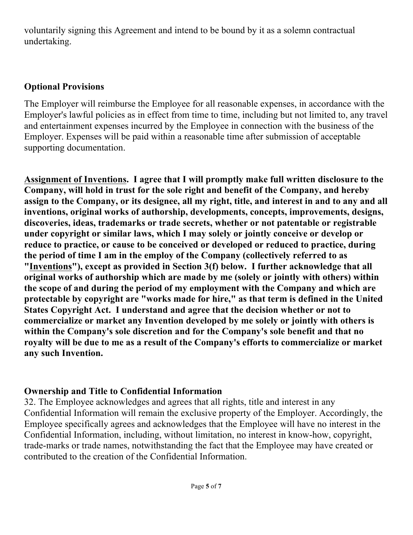voluntarily signing this Agreement and intend to be bound by it as a solemn contractual undertaking.

## **Optional Provisions**

The Employer will reimburse the Employee for all reasonable expenses, in accordance with the Employer's lawful policies as in effect from time to time, including but not limited to, any travel and entertainment expenses incurred by the Employee in connection with the business of the Employer. Expenses will be paid within a reasonable time after submission of acceptable supporting documentation.

**Assignment of Inventions. I agree that I will promptly make full written disclosure to the Company, will hold in trust for the sole right and benefit of the Company, and hereby assign to the Company, or its designee, all my right, title, and interest in and to any and all inventions, original works of authorship, developments, concepts, improvements, designs, discoveries, ideas, trademarks or trade secrets, whether or not patentable or registrable under copyright or similar laws, which I may solely or jointly conceive or develop or reduce to practice, or cause to be conceived or developed or reduced to practice, during the period of time I am in the employ of the Company (collectively referred to as "Inventions"), except as provided in Section 3(f) below. I further acknowledge that all original works of authorship which are made by me (solely or jointly with others) within the scope of and during the period of my employment with the Company and which are protectable by copyright are "works made for hire," as that term is defined in the United States Copyright Act. I understand and agree that the decision whether or not to commercialize or market any Invention developed by me solely or jointly with others is within the Company's sole discretion and for the Company's sole benefit and that no royalty will be due to me as a result of the Company's efforts to commercialize or market any such Invention.**

# **Ownership and Title to Confidential Information**

32. The Employee acknowledges and agrees that all rights, title and interest in any Confidential Information will remain the exclusive property of the Employer. Accordingly, the Employee specifically agrees and acknowledges that the Employee will have no interest in the Confidential Information, including, without limitation, no interest in know-how, copyright, trade-marks or trade names, notwithstanding the fact that the Employee may have created or contributed to the creation of the Confidential Information.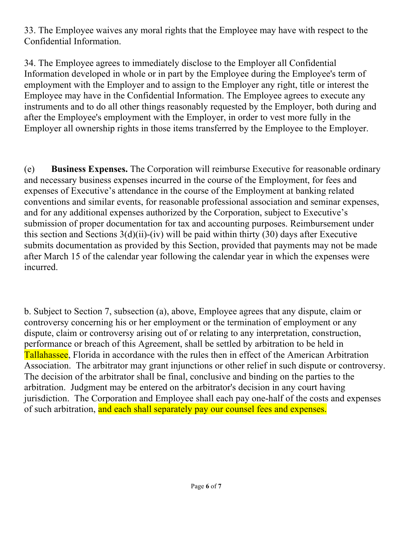33. The Employee waives any moral rights that the Employee may have with respect to the Confidential Information.

34. The Employee agrees to immediately disclose to the Employer all Confidential Information developed in whole or in part by the Employee during the Employee's term of employment with the Employer and to assign to the Employer any right, title or interest the Employee may have in the Confidential Information. The Employee agrees to execute any instruments and to do all other things reasonably requested by the Employer, both during and after the Employee's employment with the Employer, in order to vest more fully in the Employer all ownership rights in those items transferred by the Employee to the Employer.

(e) **Business Expenses.** The Corporation will reimburse Executive for reasonable ordinary and necessary business expenses incurred in the course of the Employment, for fees and expenses of Executive's attendance in the course of the Employment at banking related conventions and similar events, for reasonable professional association and seminar expenses, and for any additional expenses authorized by the Corporation, subject to Executive's submission of proper documentation for tax and accounting purposes. Reimbursement under this section and Sections  $3(d)(ii)$ -(iv) will be paid within thirty (30) days after Executive submits documentation as provided by this Section, provided that payments may not be made after March 15 of the calendar year following the calendar year in which the expenses were incurred.

b. Subject to Section 7, subsection (a), above, Employee agrees that any dispute, claim or controversy concerning his or her employment or the termination of employment or any dispute, claim or controversy arising out of or relating to any interpretation, construction, performance or breach of this Agreement, shall be settled by arbitration to be held in Tallahassee, Florida in accordance with the rules then in effect of the American Arbitration Association. The arbitrator may grant injunctions or other relief in such dispute or controversy. The decision of the arbitrator shall be final, conclusive and binding on the parties to the arbitration. Judgment may be entered on the arbitrator's decision in any court having jurisdiction. The Corporation and Employee shall each pay one-half of the costs and expenses of such arbitration, and each shall separately pay our counsel fees and expenses.